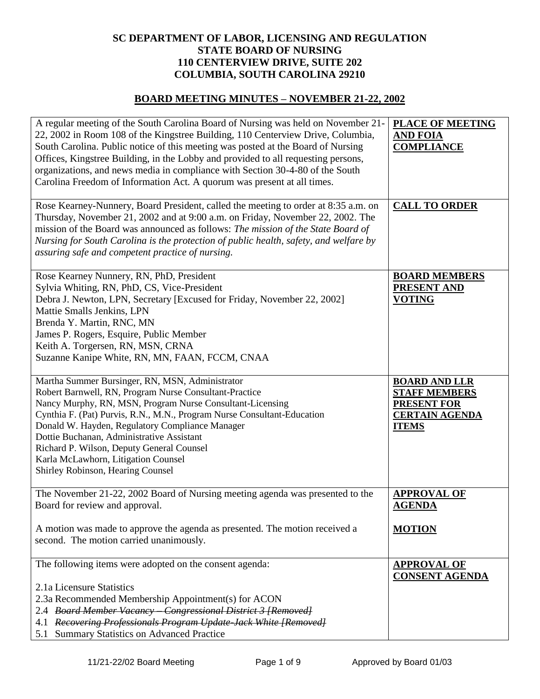## **SC DEPARTMENT OF LABOR, LICENSING AND REGULATION STATE BOARD OF NURSING 110 CENTERVIEW DRIVE, SUITE 202 COLUMBIA, SOUTH CAROLINA 29210**

## **BOARD MEETING MINUTES – NOVEMBER 21-22, 2002**

| A regular meeting of the South Carolina Board of Nursing was held on November 21-<br>22, 2002 in Room 108 of the Kingstree Building, 110 Centerview Drive, Columbia,<br>South Carolina. Public notice of this meeting was posted at the Board of Nursing<br>Offices, Kingstree Building, in the Lobby and provided to all requesting persons,<br>organizations, and news media in compliance with Section 30-4-80 of the South<br>Carolina Freedom of Information Act. A quorum was present at all times. | PLACE OF MEETING<br><b>AND FOIA</b><br><b>COMPLIANCE</b>                                                    |
|-----------------------------------------------------------------------------------------------------------------------------------------------------------------------------------------------------------------------------------------------------------------------------------------------------------------------------------------------------------------------------------------------------------------------------------------------------------------------------------------------------------|-------------------------------------------------------------------------------------------------------------|
| Rose Kearney-Nunnery, Board President, called the meeting to order at 8:35 a.m. on<br>Thursday, November 21, 2002 and at 9:00 a.m. on Friday, November 22, 2002. The<br>mission of the Board was announced as follows: The mission of the State Board of<br>Nursing for South Carolina is the protection of public health, safety, and welfare by<br>assuring safe and competent practice of nursing.                                                                                                     | <b>CALL TO ORDER</b>                                                                                        |
| Rose Kearney Nunnery, RN, PhD, President<br>Sylvia Whiting, RN, PhD, CS, Vice-President<br>Debra J. Newton, LPN, Secretary [Excused for Friday, November 22, 2002]<br>Mattie Smalls Jenkins, LPN<br>Brenda Y. Martin, RNC, MN<br>James P. Rogers, Esquire, Public Member<br>Keith A. Torgersen, RN, MSN, CRNA<br>Suzanne Kanipe White, RN, MN, FAAN, FCCM, CNAA                                                                                                                                           | <b>BOARD MEMBERS</b><br>PRESENT AND<br><b>VOTING</b>                                                        |
| Martha Summer Bursinger, RN, MSN, Administrator<br>Robert Barnwell, RN, Program Nurse Consultant-Practice<br>Nancy Murphy, RN, MSN, Program Nurse Consultant-Licensing<br>Cynthia F. (Pat) Purvis, R.N., M.N., Program Nurse Consultant-Education<br>Donald W. Hayden, Regulatory Compliance Manager<br>Dottie Buchanan, Administrative Assistant<br>Richard P. Wilson, Deputy General Counsel<br>Karla McLawhorn, Litigation Counsel<br>Shirley Robinson, Hearing Counsel                                | <b>BOARD AND LLR</b><br><b>STAFF MEMBERS</b><br><b>PRESENT FOR</b><br><b>CERTAIN AGENDA</b><br><b>ITEMS</b> |
| The November 21-22, 2002 Board of Nursing meeting agenda was presented to the<br>Board for review and approval.<br>A motion was made to approve the agenda as presented. The motion received a<br>second. The motion carried unanimously.                                                                                                                                                                                                                                                                 | <b>APPROVAL OF</b><br><b>AGENDA</b><br><b>MOTION</b>                                                        |
| The following items were adopted on the consent agenda:<br>2.1a Licensure Statistics                                                                                                                                                                                                                                                                                                                                                                                                                      | <b>APPROVAL OF</b><br><b>CONSENT AGENDA</b>                                                                 |
| 2.3a Recommended Membership Appointment(s) for ACON<br>2.4 Board Member Vacancy Congressional District 3 [Removed]<br>4.1 Recovering Professionals Program Update Jack White [Removed]<br>5.1 Summary Statistics on Advanced Practice                                                                                                                                                                                                                                                                     |                                                                                                             |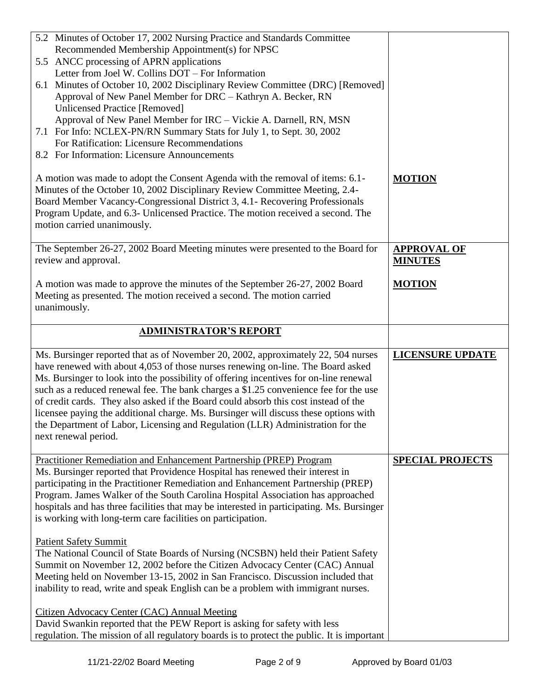| 5.2 Minutes of October 17, 2002 Nursing Practice and Standards Committee<br>Recommended Membership Appointment(s) for NPSC<br>5.5 ANCC processing of APRN applications<br>Letter from Joel W. Collins DOT – For Information<br>6.1 Minutes of October 10, 2002 Disciplinary Review Committee (DRC) [Removed]<br>Approval of New Panel Member for DRC - Kathryn A. Becker, RN<br><b>Unlicensed Practice [Removed]</b><br>Approval of New Panel Member for IRC - Vickie A. Darnell, RN, MSN<br>7.1 For Info: NCLEX-PN/RN Summary Stats for July 1, to Sept. 30, 2002<br>For Ratification: Licensure Recommendations<br>8.2 For Information: Licensure Announcements |                                      |
|-------------------------------------------------------------------------------------------------------------------------------------------------------------------------------------------------------------------------------------------------------------------------------------------------------------------------------------------------------------------------------------------------------------------------------------------------------------------------------------------------------------------------------------------------------------------------------------------------------------------------------------------------------------------|--------------------------------------|
| A motion was made to adopt the Consent Agenda with the removal of items: 6.1-<br>Minutes of the October 10, 2002 Disciplinary Review Committee Meeting, 2.4-<br>Board Member Vacancy-Congressional District 3, 4.1- Recovering Professionals<br>Program Update, and 6.3- Unlicensed Practice. The motion received a second. The<br>motion carried unanimously.                                                                                                                                                                                                                                                                                                    | <b>MOTION</b>                        |
| The September 26-27, 2002 Board Meeting minutes were presented to the Board for<br>review and approval.                                                                                                                                                                                                                                                                                                                                                                                                                                                                                                                                                           | <b>APPROVAL OF</b><br><b>MINUTES</b> |
| A motion was made to approve the minutes of the September 26-27, 2002 Board<br>Meeting as presented. The motion received a second. The motion carried<br>unanimously.                                                                                                                                                                                                                                                                                                                                                                                                                                                                                             | <b>MOTION</b>                        |
| <b>ADMINISTRATOR'S REPORT</b>                                                                                                                                                                                                                                                                                                                                                                                                                                                                                                                                                                                                                                     |                                      |
| Ms. Bursinger reported that as of November 20, 2002, approximately 22, 504 nurses<br>have renewed with about 4,053 of those nurses renewing on-line. The Board asked<br>Ms. Bursinger to look into the possibility of offering incentives for on-line renewal<br>such as a reduced renewal fee. The bank charges a \$1.25 convenience fee for the use<br>of credit cards. They also asked if the Board could absorb this cost instead of the<br>licensee paying the additional charge. Ms. Bursinger will discuss these options with<br>the Department of Labor, Licensing and Regulation (LLR) Administration for the<br>next renewal period.                    | <b>LICENSURE UPDATE</b>              |
| Practitioner Remediation and Enhancement Partnership (PREP) Program<br>Ms. Bursinger reported that Providence Hospital has renewed their interest in<br>participating in the Practitioner Remediation and Enhancement Partnership (PREP)<br>Program. James Walker of the South Carolina Hospital Association has approached<br>hospitals and has three facilities that may be interested in participating. Ms. Bursinger<br>is working with long-term care facilities on participation.                                                                                                                                                                           | <b>SPECIAL PROJECTS</b>              |
| <b>Patient Safety Summit</b><br>The National Council of State Boards of Nursing (NCSBN) held their Patient Safety<br>Summit on November 12, 2002 before the Citizen Advocacy Center (CAC) Annual<br>Meeting held on November 13-15, 2002 in San Francisco. Discussion included that<br>inability to read, write and speak English can be a problem with immigrant nurses.<br><b>Citizen Advocacy Center (CAC) Annual Meeting</b>                                                                                                                                                                                                                                  |                                      |
| David Swankin reported that the PEW Report is asking for safety with less<br>regulation. The mission of all regulatory boards is to protect the public. It is important                                                                                                                                                                                                                                                                                                                                                                                                                                                                                           |                                      |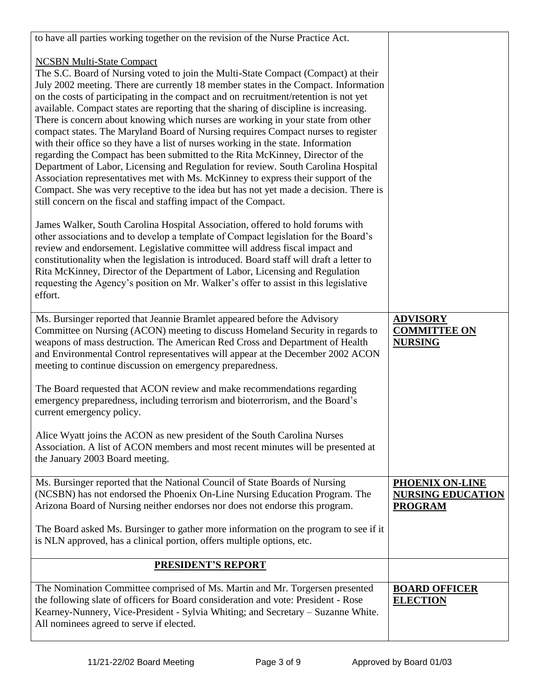| to have all parties working together on the revision of the Nurse Practice Act.                                                                                                                                                                                                                                                                                                                                                                                                                                                                                                                                                                                                                                                                                                                                                                                                                                                                                                                                                                                                      |                                                                      |
|--------------------------------------------------------------------------------------------------------------------------------------------------------------------------------------------------------------------------------------------------------------------------------------------------------------------------------------------------------------------------------------------------------------------------------------------------------------------------------------------------------------------------------------------------------------------------------------------------------------------------------------------------------------------------------------------------------------------------------------------------------------------------------------------------------------------------------------------------------------------------------------------------------------------------------------------------------------------------------------------------------------------------------------------------------------------------------------|----------------------------------------------------------------------|
| <b>NCSBN Multi-State Compact</b><br>The S.C. Board of Nursing voted to join the Multi-State Compact (Compact) at their<br>July 2002 meeting. There are currently 18 member states in the Compact. Information<br>on the costs of participating in the compact and on recruitment/retention is not yet<br>available. Compact states are reporting that the sharing of discipline is increasing.<br>There is concern about knowing which nurses are working in your state from other<br>compact states. The Maryland Board of Nursing requires Compact nurses to register<br>with their office so they have a list of nurses working in the state. Information<br>regarding the Compact has been submitted to the Rita McKinney, Director of the<br>Department of Labor, Licensing and Regulation for review. South Carolina Hospital<br>Association representatives met with Ms. McKinney to express their support of the<br>Compact. She was very receptive to the idea but has not yet made a decision. There is<br>still concern on the fiscal and staffing impact of the Compact. |                                                                      |
| James Walker, South Carolina Hospital Association, offered to hold forums with<br>other associations and to develop a template of Compact legislation for the Board's<br>review and endorsement. Legislative committee will address fiscal impact and<br>constitutionality when the legislation is introduced. Board staff will draft a letter to<br>Rita McKinney, Director of the Department of Labor, Licensing and Regulation<br>requesting the Agency's position on Mr. Walker's offer to assist in this legislative<br>effort.                                                                                                                                                                                                                                                                                                                                                                                                                                                                                                                                                 |                                                                      |
| Ms. Bursinger reported that Jeannie Bramlet appeared before the Advisory<br>Committee on Nursing (ACON) meeting to discuss Homeland Security in regards to<br>weapons of mass destruction. The American Red Cross and Department of Health<br>and Environmental Control representatives will appear at the December 2002 ACON<br>meeting to continue discussion on emergency preparedness.                                                                                                                                                                                                                                                                                                                                                                                                                                                                                                                                                                                                                                                                                           | <b>ADVISORY</b><br><b>COMMITTEE ON</b><br><b>NURSING</b>             |
| The Board requested that ACON review and make recommendations regarding<br>emergency preparedness, including terrorism and bioterrorism, and the Board's<br>current emergency policy.                                                                                                                                                                                                                                                                                                                                                                                                                                                                                                                                                                                                                                                                                                                                                                                                                                                                                                |                                                                      |
| Alice Wyatt joins the ACON as new president of the South Carolina Nurses<br>Association. A list of ACON members and most recent minutes will be presented at<br>the January 2003 Board meeting.                                                                                                                                                                                                                                                                                                                                                                                                                                                                                                                                                                                                                                                                                                                                                                                                                                                                                      |                                                                      |
| Ms. Bursinger reported that the National Council of State Boards of Nursing<br>(NCSBN) has not endorsed the Phoenix On-Line Nursing Education Program. The<br>Arizona Board of Nursing neither endorses nor does not endorse this program.                                                                                                                                                                                                                                                                                                                                                                                                                                                                                                                                                                                                                                                                                                                                                                                                                                           | <b>PHOENIX ON-LINE</b><br><b>NURSING EDUCATION</b><br><b>PROGRAM</b> |
| The Board asked Ms. Bursinger to gather more information on the program to see if it<br>is NLN approved, has a clinical portion, offers multiple options, etc.                                                                                                                                                                                                                                                                                                                                                                                                                                                                                                                                                                                                                                                                                                                                                                                                                                                                                                                       |                                                                      |
| <b>PRESIDENT'S REPORT</b>                                                                                                                                                                                                                                                                                                                                                                                                                                                                                                                                                                                                                                                                                                                                                                                                                                                                                                                                                                                                                                                            |                                                                      |
| The Nomination Committee comprised of Ms. Martin and Mr. Torgersen presented<br>the following slate of officers for Board consideration and vote: President - Rose<br>Kearney-Nunnery, Vice-President - Sylvia Whiting; and Secretary – Suzanne White.<br>All nominees agreed to serve if elected.                                                                                                                                                                                                                                                                                                                                                                                                                                                                                                                                                                                                                                                                                                                                                                                   | <b>BOARD OFFICER</b><br><b>ELECTION</b>                              |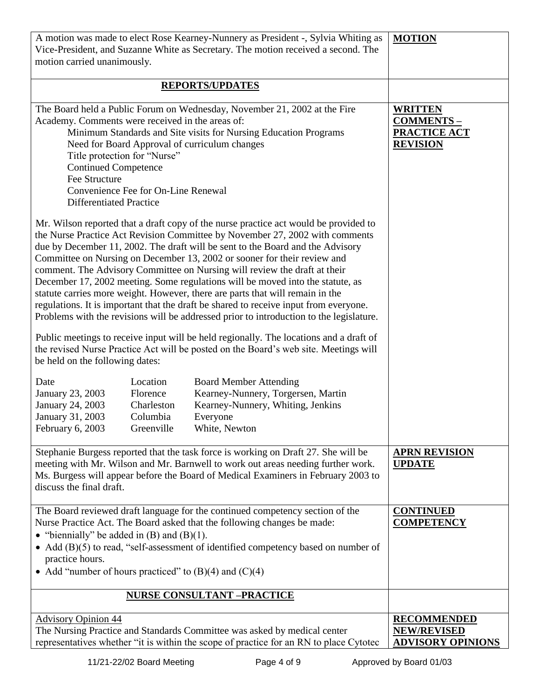| A motion was made to elect Rose Kearney-Nunnery as President -, Sylvia Whiting as<br>Vice-President, and Suzanne White as Secretary. The motion received a second. The<br>motion carried unanimously.                                                                                                                                                                                                                                                                                                                                                                                                                                                                                                                                                                  | <b>MOTION</b>                                                                |
|------------------------------------------------------------------------------------------------------------------------------------------------------------------------------------------------------------------------------------------------------------------------------------------------------------------------------------------------------------------------------------------------------------------------------------------------------------------------------------------------------------------------------------------------------------------------------------------------------------------------------------------------------------------------------------------------------------------------------------------------------------------------|------------------------------------------------------------------------------|
| <b>REPORTS/UPDATES</b>                                                                                                                                                                                                                                                                                                                                                                                                                                                                                                                                                                                                                                                                                                                                                 |                                                                              |
| The Board held a Public Forum on Wednesday, November 21, 2002 at the Fire<br>Academy. Comments were received in the areas of:<br>Minimum Standards and Site visits for Nursing Education Programs<br>Need for Board Approval of curriculum changes<br>Title protection for "Nurse"<br><b>Continued Competence</b><br>Fee Structure<br>Convenience Fee for On-Line Renewal<br><b>Differentiated Practice</b>                                                                                                                                                                                                                                                                                                                                                            | <b>WRITTEN</b><br><b>COMMENTS-</b><br><b>PRACTICE ACT</b><br><b>REVISION</b> |
| Mr. Wilson reported that a draft copy of the nurse practice act would be provided to<br>the Nurse Practice Act Revision Committee by November 27, 2002 with comments<br>due by December 11, 2002. The draft will be sent to the Board and the Advisory<br>Committee on Nursing on December 13, 2002 or sooner for their review and<br>comment. The Advisory Committee on Nursing will review the draft at their<br>December 17, 2002 meeting. Some regulations will be moved into the statute, as<br>statute carries more weight. However, there are parts that will remain in the<br>regulations. It is important that the draft be shared to receive input from everyone.<br>Problems with the revisions will be addressed prior to introduction to the legislature. |                                                                              |
| Public meetings to receive input will be held regionally. The locations and a draft of<br>the revised Nurse Practice Act will be posted on the Board's web site. Meetings will<br>be held on the following dates:                                                                                                                                                                                                                                                                                                                                                                                                                                                                                                                                                      |                                                                              |
| <b>Board Member Attending</b><br>Date<br>Location<br>Kearney-Nunnery, Torgersen, Martin<br>January 23, 2003<br>Florence<br>January 24, 2003<br>Charleston<br>Kearney-Nunnery, Whiting, Jenkins<br>January 31, 2003<br>Columbia<br>Everyone<br>February 6, 2003<br>White, Newton<br>Greenville                                                                                                                                                                                                                                                                                                                                                                                                                                                                          |                                                                              |
| Stephanie Burgess reported that the task force is working on Draft 27. She will be<br>meeting with Mr. Wilson and Mr. Barnwell to work out areas needing further work.<br>Ms. Burgess will appear before the Board of Medical Examiners in February 2003 to<br>discuss the final draft.                                                                                                                                                                                                                                                                                                                                                                                                                                                                                | <b>APRN REVISION</b><br><b>UPDATE</b>                                        |
| The Board reviewed draft language for the continued competency section of the<br>Nurse Practice Act. The Board asked that the following changes be made:<br>• "biennially" be added in $(B)$ and $(B)(1)$ .<br>• Add (B)(5) to read, "self-assessment of identified competency based on number of<br>practice hours.<br>• Add "number of hours practiced" to $(B)(4)$ and $(C)(4)$                                                                                                                                                                                                                                                                                                                                                                                     | <b>CONTINUED</b><br><b>COMPETENCY</b>                                        |
| <b>NURSE CONSULTANT -PRACTICE</b>                                                                                                                                                                                                                                                                                                                                                                                                                                                                                                                                                                                                                                                                                                                                      |                                                                              |
| <b>Advisory Opinion 44</b><br>The Nursing Practice and Standards Committee was asked by medical center<br>representatives whether "it is within the scope of practice for an RN to place Cytotec                                                                                                                                                                                                                                                                                                                                                                                                                                                                                                                                                                       | <b>RECOMMENDED</b><br><b>NEW/REVISED</b><br><b>ADVISORY OPINIONS</b>         |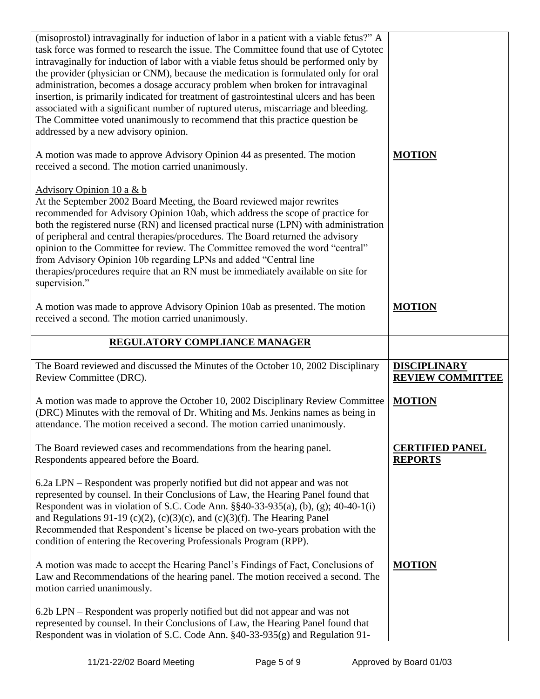| (misoprostol) intravaginally for induction of labor in a patient with a viable fetus?" A<br>task force was formed to research the issue. The Committee found that use of Cytotec<br>intravaginally for induction of labor with a viable fetus should be performed only by<br>the provider (physician or CNM), because the medication is formulated only for oral<br>administration, becomes a dosage accuracy problem when broken for intravaginal<br>insertion, is primarily indicated for treatment of gastrointestinal ulcers and has been<br>associated with a significant number of ruptured uterus, miscarriage and bleeding.<br>The Committee voted unanimously to recommend that this practice question be<br>addressed by a new advisory opinion.<br>A motion was made to approve Advisory Opinion 44 as presented. The motion | <b>MOTION</b>                            |
|-----------------------------------------------------------------------------------------------------------------------------------------------------------------------------------------------------------------------------------------------------------------------------------------------------------------------------------------------------------------------------------------------------------------------------------------------------------------------------------------------------------------------------------------------------------------------------------------------------------------------------------------------------------------------------------------------------------------------------------------------------------------------------------------------------------------------------------------|------------------------------------------|
| received a second. The motion carried unanimously.<br>Advisory Opinion 10 a & b<br>At the September 2002 Board Meeting, the Board reviewed major rewrites<br>recommended for Advisory Opinion 10ab, which address the scope of practice for<br>both the registered nurse (RN) and licensed practical nurse (LPN) with administration<br>of peripheral and central therapies/procedures. The Board returned the advisory<br>opinion to the Committee for review. The Committee removed the word "central"<br>from Advisory Opinion 10b regarding LPNs and added "Central line<br>therapies/procedures require that an RN must be immediately available on site for<br>supervision."                                                                                                                                                      |                                          |
| A motion was made to approve Advisory Opinion 10ab as presented. The motion<br>received a second. The motion carried unanimously.<br>REGULATORY COMPLIANCE MANAGER                                                                                                                                                                                                                                                                                                                                                                                                                                                                                                                                                                                                                                                                      | <b>MOTION</b>                            |
|                                                                                                                                                                                                                                                                                                                                                                                                                                                                                                                                                                                                                                                                                                                                                                                                                                         |                                          |
| The Board reviewed and discussed the Minutes of the October 10, 2002 Disciplinary                                                                                                                                                                                                                                                                                                                                                                                                                                                                                                                                                                                                                                                                                                                                                       | <b>DISCIPLINARY</b>                      |
| Review Committee (DRC).                                                                                                                                                                                                                                                                                                                                                                                                                                                                                                                                                                                                                                                                                                                                                                                                                 | <b>REVIEW COMMITTEE</b>                  |
| A motion was made to approve the October 10, 2002 Disciplinary Review Committee<br>(DRC) Minutes with the removal of Dr. Whiting and Ms. Jenkins names as being in<br>attendance. The motion received a second. The motion carried unanimously.                                                                                                                                                                                                                                                                                                                                                                                                                                                                                                                                                                                         | <b>MOTION</b>                            |
| The Board reviewed cases and recommendations from the hearing panel.<br>Respondents appeared before the Board.                                                                                                                                                                                                                                                                                                                                                                                                                                                                                                                                                                                                                                                                                                                          | <b>CERTIFIED PANEL</b><br><b>REPORTS</b> |
| 6.2a LPN – Respondent was properly notified but did not appear and was not<br>represented by counsel. In their Conclusions of Law, the Hearing Panel found that<br>Respondent was in violation of S.C. Code Ann. $\S$ §40-33-935(a), (b), (g); 40-40-1(i)<br>and Regulations 91-19 (c)(2), (c)(3)(c), and (c)(3)(f). The Hearing Panel<br>Recommended that Respondent's license be placed on two-years probation with the<br>condition of entering the Recovering Professionals Program (RPP).                                                                                                                                                                                                                                                                                                                                          |                                          |
| A motion was made to accept the Hearing Panel's Findings of Fact, Conclusions of<br>Law and Recommendations of the hearing panel. The motion received a second. The<br>motion carried unanimously.                                                                                                                                                                                                                                                                                                                                                                                                                                                                                                                                                                                                                                      | <b>MOTION</b>                            |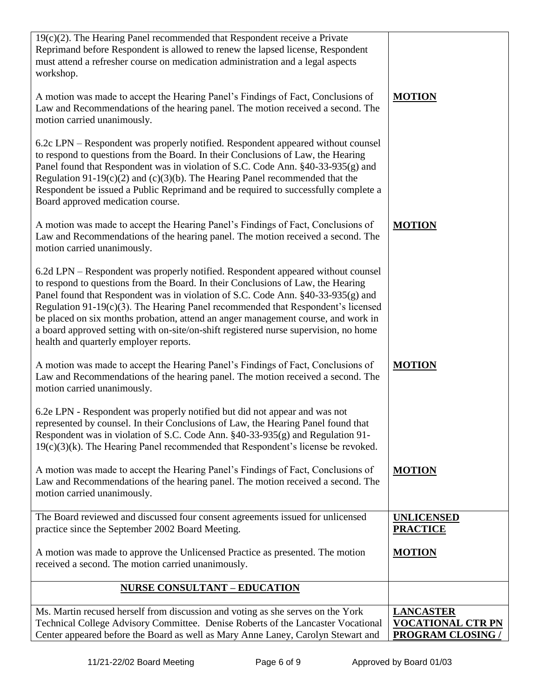| $19(c)(2)$ . The Hearing Panel recommended that Respondent receive a Private<br>Reprimand before Respondent is allowed to renew the lapsed license, Respondent<br>must attend a refresher course on medication administration and a legal aspects<br>workshop.                                                                                                                                                                                                                                                                                                         |                                                                          |
|------------------------------------------------------------------------------------------------------------------------------------------------------------------------------------------------------------------------------------------------------------------------------------------------------------------------------------------------------------------------------------------------------------------------------------------------------------------------------------------------------------------------------------------------------------------------|--------------------------------------------------------------------------|
| A motion was made to accept the Hearing Panel's Findings of Fact, Conclusions of<br>Law and Recommendations of the hearing panel. The motion received a second. The<br>motion carried unanimously.                                                                                                                                                                                                                                                                                                                                                                     | <b>MOTION</b>                                                            |
| 6.2c LPN – Respondent was properly notified. Respondent appeared without counsel<br>to respond to questions from the Board. In their Conclusions of Law, the Hearing<br>Panel found that Respondent was in violation of S.C. Code Ann. §40-33-935(g) and<br>Regulation 91-19 $(c)(2)$ and $(c)(3)(b)$ . The Hearing Panel recommended that the<br>Respondent be issued a Public Reprimand and be required to successfully complete a<br>Board approved medication course.                                                                                              |                                                                          |
| A motion was made to accept the Hearing Panel's Findings of Fact, Conclusions of<br>Law and Recommendations of the hearing panel. The motion received a second. The<br>motion carried unanimously.                                                                                                                                                                                                                                                                                                                                                                     | <b>MOTION</b>                                                            |
| 6.2d LPN – Respondent was properly notified. Respondent appeared without counsel<br>to respond to questions from the Board. In their Conclusions of Law, the Hearing<br>Panel found that Respondent was in violation of S.C. Code Ann. §40-33-935(g) and<br>Regulation $91-19(c)(3)$ . The Hearing Panel recommended that Respondent's licensed<br>be placed on six months probation, attend an anger management course, and work in<br>a board approved setting with on-site/on-shift registered nurse supervision, no home<br>health and quarterly employer reports. |                                                                          |
| A motion was made to accept the Hearing Panel's Findings of Fact, Conclusions of<br>Law and Recommendations of the hearing panel. The motion received a second. The<br>motion carried unanimously.                                                                                                                                                                                                                                                                                                                                                                     | <b>MOTION</b>                                                            |
| 6.2e LPN - Respondent was properly notified but did not appear and was not<br>represented by counsel. In their Conclusions of Law, the Hearing Panel found that<br>Respondent was in violation of S.C. Code Ann. §40-33-935(g) and Regulation 91-<br>$19(c)(3)(k)$ . The Hearing Panel recommended that Respondent's license be revoked.                                                                                                                                                                                                                               |                                                                          |
| A motion was made to accept the Hearing Panel's Findings of Fact, Conclusions of<br>Law and Recommendations of the hearing panel. The motion received a second. The<br>motion carried unanimously.                                                                                                                                                                                                                                                                                                                                                                     | <b>MOTION</b>                                                            |
| The Board reviewed and discussed four consent agreements issued for unlicensed<br>practice since the September 2002 Board Meeting.                                                                                                                                                                                                                                                                                                                                                                                                                                     | <b>UNLICENSED</b><br><b>PRACTICE</b>                                     |
| A motion was made to approve the Unlicensed Practice as presented. The motion<br>received a second. The motion carried unanimously.                                                                                                                                                                                                                                                                                                                                                                                                                                    | <b>MOTION</b>                                                            |
| <b>NURSE CONSULTANT - EDUCATION</b>                                                                                                                                                                                                                                                                                                                                                                                                                                                                                                                                    |                                                                          |
| Ms. Martin recused herself from discussion and voting as she serves on the York<br>Technical College Advisory Committee. Denise Roberts of the Lancaster Vocational<br>Center appeared before the Board as well as Mary Anne Laney, Carolyn Stewart and                                                                                                                                                                                                                                                                                                                | <b>LANCASTER</b><br><b>VOCATIONAL CTR PN</b><br><b>PROGRAM CLOSING /</b> |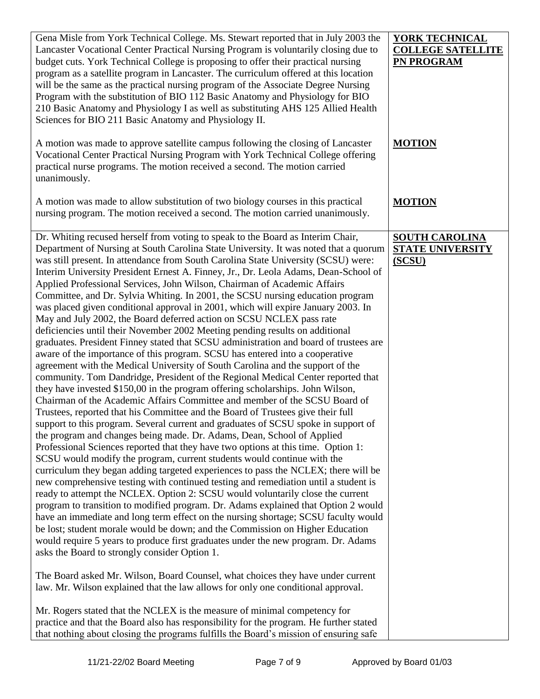| Gena Misle from York Technical College. Ms. Stewart reported that in July 2003 the<br>Lancaster Vocational Center Practical Nursing Program is voluntarily closing due to<br>budget cuts. York Technical College is proposing to offer their practical nursing<br>program as a satellite program in Lancaster. The curriculum offered at this location<br>will be the same as the practical nursing program of the Associate Degree Nursing<br>Program with the substitution of BIO 112 Basic Anatomy and Physiology for BIO<br>210 Basic Anatomy and Physiology I as well as substituting AHS 125 Allied Health<br>Sciences for BIO 211 Basic Anatomy and Physiology II.                                                                                                                                                                                                                                                                                                                                                                                                                                                                                                                                                                                                                                                                                                                                                                                                                                                                                                                                                                                                                                                                                                                                                                                                                                                                                                                                                                                                                                                                                                                                                                                                                                                                                                                                                                                                                                                                                                                                                                                                                                                                                                                                  | <b>YORK TECHNICAL</b><br><b>COLLEGE SATELLITE</b><br>PN PROGRAM |
|------------------------------------------------------------------------------------------------------------------------------------------------------------------------------------------------------------------------------------------------------------------------------------------------------------------------------------------------------------------------------------------------------------------------------------------------------------------------------------------------------------------------------------------------------------------------------------------------------------------------------------------------------------------------------------------------------------------------------------------------------------------------------------------------------------------------------------------------------------------------------------------------------------------------------------------------------------------------------------------------------------------------------------------------------------------------------------------------------------------------------------------------------------------------------------------------------------------------------------------------------------------------------------------------------------------------------------------------------------------------------------------------------------------------------------------------------------------------------------------------------------------------------------------------------------------------------------------------------------------------------------------------------------------------------------------------------------------------------------------------------------------------------------------------------------------------------------------------------------------------------------------------------------------------------------------------------------------------------------------------------------------------------------------------------------------------------------------------------------------------------------------------------------------------------------------------------------------------------------------------------------------------------------------------------------------------------------------------------------------------------------------------------------------------------------------------------------------------------------------------------------------------------------------------------------------------------------------------------------------------------------------------------------------------------------------------------------------------------------------------------------------------------------------------------------|-----------------------------------------------------------------|
| A motion was made to approve satellite campus following the closing of Lancaster<br>Vocational Center Practical Nursing Program with York Technical College offering<br>practical nurse programs. The motion received a second. The motion carried<br>unanimously.                                                                                                                                                                                                                                                                                                                                                                                                                                                                                                                                                                                                                                                                                                                                                                                                                                                                                                                                                                                                                                                                                                                                                                                                                                                                                                                                                                                                                                                                                                                                                                                                                                                                                                                                                                                                                                                                                                                                                                                                                                                                                                                                                                                                                                                                                                                                                                                                                                                                                                                                         | <b>MOTION</b>                                                   |
| A motion was made to allow substitution of two biology courses in this practical<br>nursing program. The motion received a second. The motion carried unanimously.                                                                                                                                                                                                                                                                                                                                                                                                                                                                                                                                                                                                                                                                                                                                                                                                                                                                                                                                                                                                                                                                                                                                                                                                                                                                                                                                                                                                                                                                                                                                                                                                                                                                                                                                                                                                                                                                                                                                                                                                                                                                                                                                                                                                                                                                                                                                                                                                                                                                                                                                                                                                                                         | <b>MOTION</b>                                                   |
| Dr. Whiting recused herself from voting to speak to the Board as Interim Chair,<br>Department of Nursing at South Carolina State University. It was noted that a quorum<br>was still present. In attendance from South Carolina State University (SCSU) were:<br>Interim University President Ernest A. Finney, Jr., Dr. Leola Adams, Dean-School of<br>Applied Professional Services, John Wilson, Chairman of Academic Affairs<br>Committee, and Dr. Sylvia Whiting. In 2001, the SCSU nursing education program<br>was placed given conditional approval in 2001, which will expire January 2003. In<br>May and July 2002, the Board deferred action on SCSU NCLEX pass rate<br>deficiencies until their November 2002 Meeting pending results on additional<br>graduates. President Finney stated that SCSU administration and board of trustees are<br>aware of the importance of this program. SCSU has entered into a cooperative<br>agreement with the Medical University of South Carolina and the support of the<br>community. Tom Dandridge, President of the Regional Medical Center reported that<br>they have invested \$150,00 in the program offering scholarships. John Wilson,<br>Chairman of the Academic Affairs Committee and member of the SCSU Board of<br>Trustees, reported that his Committee and the Board of Trustees give their full<br>support to this program. Several current and graduates of SCSU spoke in support of<br>the program and changes being made. Dr. Adams, Dean, School of Applied<br>Professional Sciences reported that they have two options at this time. Option 1:<br>SCSU would modify the program, current students would continue with the<br>curriculum they began adding targeted experiences to pass the NCLEX; there will be<br>new comprehensive testing with continued testing and remediation until a student is<br>ready to attempt the NCLEX. Option 2: SCSU would voluntarily close the current<br>program to transition to modified program. Dr. Adams explained that Option 2 would<br>have an immediate and long term effect on the nursing shortage; SCSU faculty would<br>be lost; student morale would be down; and the Commission on Higher Education<br>would require 5 years to produce first graduates under the new program. Dr. Adams<br>asks the Board to strongly consider Option 1.<br>The Board asked Mr. Wilson, Board Counsel, what choices they have under current<br>law. Mr. Wilson explained that the law allows for only one conditional approval.<br>Mr. Rogers stated that the NCLEX is the measure of minimal competency for<br>practice and that the Board also has responsibility for the program. He further stated<br>that nothing about closing the programs fulfills the Board's mission of ensuring safe | <b>SOUTH CAROLINA</b><br><b>STATE UNIVERSITY</b><br>(SCSU)      |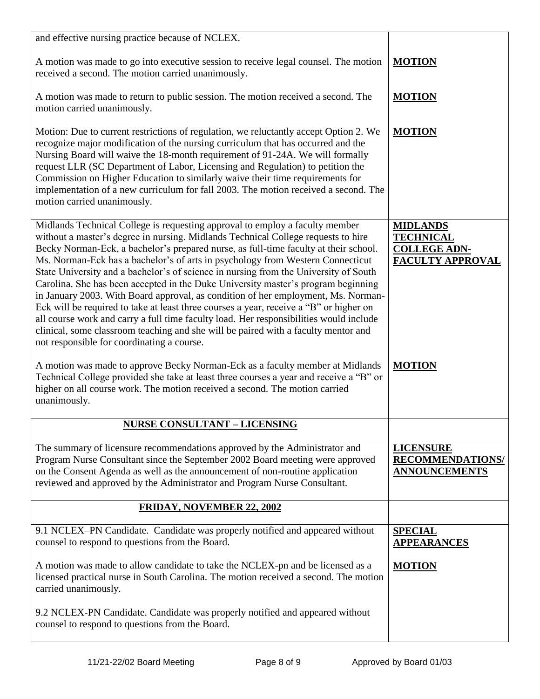| and effective nursing practice because of NCLEX.                                                                                                                                                                                                                                                                                                                                                                                                                                                                                                                                                                                                                                                                                                                                                                                                                                                                                      |                                                                                       |
|---------------------------------------------------------------------------------------------------------------------------------------------------------------------------------------------------------------------------------------------------------------------------------------------------------------------------------------------------------------------------------------------------------------------------------------------------------------------------------------------------------------------------------------------------------------------------------------------------------------------------------------------------------------------------------------------------------------------------------------------------------------------------------------------------------------------------------------------------------------------------------------------------------------------------------------|---------------------------------------------------------------------------------------|
| A motion was made to go into executive session to receive legal counsel. The motion<br>received a second. The motion carried unanimously.                                                                                                                                                                                                                                                                                                                                                                                                                                                                                                                                                                                                                                                                                                                                                                                             | <b>MOTION</b>                                                                         |
| A motion was made to return to public session. The motion received a second. The<br>motion carried unanimously.                                                                                                                                                                                                                                                                                                                                                                                                                                                                                                                                                                                                                                                                                                                                                                                                                       | <b>MOTION</b>                                                                         |
| Motion: Due to current restrictions of regulation, we reluctantly accept Option 2. We<br>recognize major modification of the nursing curriculum that has occurred and the<br>Nursing Board will waive the 18-month requirement of 91-24A. We will formally<br>request LLR (SC Department of Labor, Licensing and Regulation) to petition the<br>Commission on Higher Education to similarly waive their time requirements for<br>implementation of a new curriculum for fall 2003. The motion received a second. The<br>motion carried unanimously.                                                                                                                                                                                                                                                                                                                                                                                   | <b>MOTION</b>                                                                         |
| Midlands Technical College is requesting approval to employ a faculty member<br>without a master's degree in nursing. Midlands Technical College requests to hire<br>Becky Norman-Eck, a bachelor's prepared nurse, as full-time faculty at their school.<br>Ms. Norman-Eck has a bachelor's of arts in psychology from Western Connecticut<br>State University and a bachelor's of science in nursing from the University of South<br>Carolina. She has been accepted in the Duke University master's program beginning<br>in January 2003. With Board approval, as condition of her employment, Ms. Norman-<br>Eck will be required to take at least three courses a year, receive a "B" or higher on<br>all course work and carry a full time faculty load. Her responsibilities would include<br>clinical, some classroom teaching and she will be paired with a faculty mentor and<br>not responsible for coordinating a course. | <b>MIDLANDS</b><br><b>TECHNICAL</b><br><b>COLLEGE ADN-</b><br><b>FACULTY APPROVAL</b> |
| A motion was made to approve Becky Norman-Eck as a faculty member at Midlands<br>Technical College provided she take at least three courses a year and receive a "B" or<br>higher on all course work. The motion received a second. The motion carried<br>unanimously.                                                                                                                                                                                                                                                                                                                                                                                                                                                                                                                                                                                                                                                                | <b>MOTION</b>                                                                         |
| <b>NURSE CONSULTANT - LICENSING</b>                                                                                                                                                                                                                                                                                                                                                                                                                                                                                                                                                                                                                                                                                                                                                                                                                                                                                                   |                                                                                       |
| The summary of licensure recommendations approved by the Administrator and<br>Program Nurse Consultant since the September 2002 Board meeting were approved<br>on the Consent Agenda as well as the announcement of non-routine application<br>reviewed and approved by the Administrator and Program Nurse Consultant.                                                                                                                                                                                                                                                                                                                                                                                                                                                                                                                                                                                                               | <b>LICENSURE</b><br><b>RECOMMENDATIONS/</b><br><b>ANNOUNCEMENTS</b>                   |
| <b>FRIDAY, NOVEMBER 22, 2002</b>                                                                                                                                                                                                                                                                                                                                                                                                                                                                                                                                                                                                                                                                                                                                                                                                                                                                                                      |                                                                                       |
| 9.1 NCLEX-PN Candidate. Candidate was properly notified and appeared without<br>counsel to respond to questions from the Board.                                                                                                                                                                                                                                                                                                                                                                                                                                                                                                                                                                                                                                                                                                                                                                                                       | <b>SPECIAL</b><br><b>APPEARANCES</b>                                                  |
| A motion was made to allow candidate to take the NCLEX-pn and be licensed as a<br>licensed practical nurse in South Carolina. The motion received a second. The motion<br>carried unanimously.                                                                                                                                                                                                                                                                                                                                                                                                                                                                                                                                                                                                                                                                                                                                        | <b>MOTION</b>                                                                         |
| 9.2 NCLEX-PN Candidate. Candidate was properly notified and appeared without<br>counsel to respond to questions from the Board.                                                                                                                                                                                                                                                                                                                                                                                                                                                                                                                                                                                                                                                                                                                                                                                                       |                                                                                       |